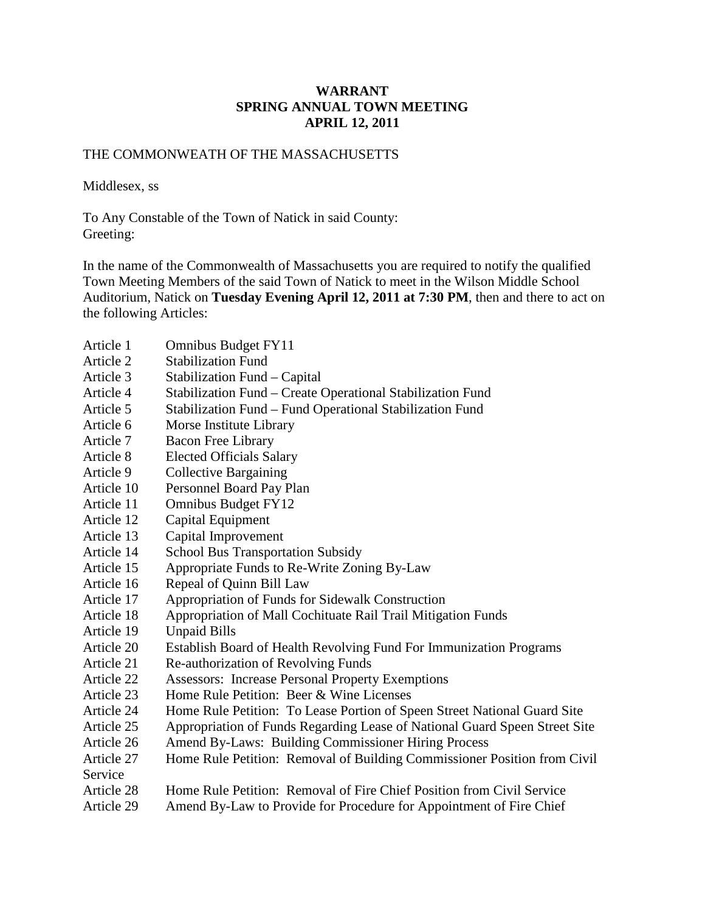### **WARRANT SPRING ANNUAL TOWN MEETING APRIL 12, 2011**

### THE COMMONWEATH OF THE MASSACHUSETTS

Middlesex, ss

To Any Constable of the Town of Natick in said County: Greeting:

In the name of the Commonwealth of Massachusetts you are required to notify the qualified Town Meeting Members of the said Town of Natick to meet in the Wilson Middle School Auditorium, Natick on **Tuesday Evening April 12, 2011 at 7:30 PM**, then and there to act on the following Articles:

- Article 1 Omnibus Budget FY11
- Article 2 Stabilization Fund
- Article 3 Stabilization Fund –Capital
- Article 4 Stabilization Fund –Create Operational Stabilization Fund
- Article 5 Stabilization Fund –Fund Operational Stabilization Fund
- Article 6 Morse Institute Library
- Article 7 Bacon Free Library
- Article 8 Elected Officials Salary
- Article 9 Collective Bargaining
- Article 10 Personnel Board Pay Plan
- Article 11 Omnibus Budget FY12
- Article 12 Capital Equipment
- Article 13 Capital Improvement
- Article 14 School Bus Transportation Subsidy
- Article 15 Appropriate Funds to Re-Write Zoning By-Law
- Article 16 Repeal of Quinn Bill Law
- Article 17 Appropriation of Funds for Sidewalk Construction
- Article 18 Appropriation of Mall Cochituate Rail Trail Mitigation Funds
- Article 19 Unpaid Bills
- Article 20 Establish Board of Health Revolving Fund For Immunization Programs
- Article 21 Re-authorization of Revolving Funds
- Article 22 Assessors: Increase Personal Property Exemptions
- Article 23 Home Rule Petition: Beer & Wine Licenses
- Article 24 Home Rule Petition: To Lease Portion of Speen Street National Guard Site
- Article 25 Appropriation of Funds Regarding Lease of National Guard Speen Street Site
- Article 26 Amend By-Laws: Building Commissioner Hiring Process
- Article 27 Home Rule Petition: Removal of Building Commissioner Position from Civil Service
- Article 28 Home Rule Petition: Removal of Fire Chief Position from Civil Service
- Article 29 Amend By-Law to Provide for Procedure for Appointment of Fire Chief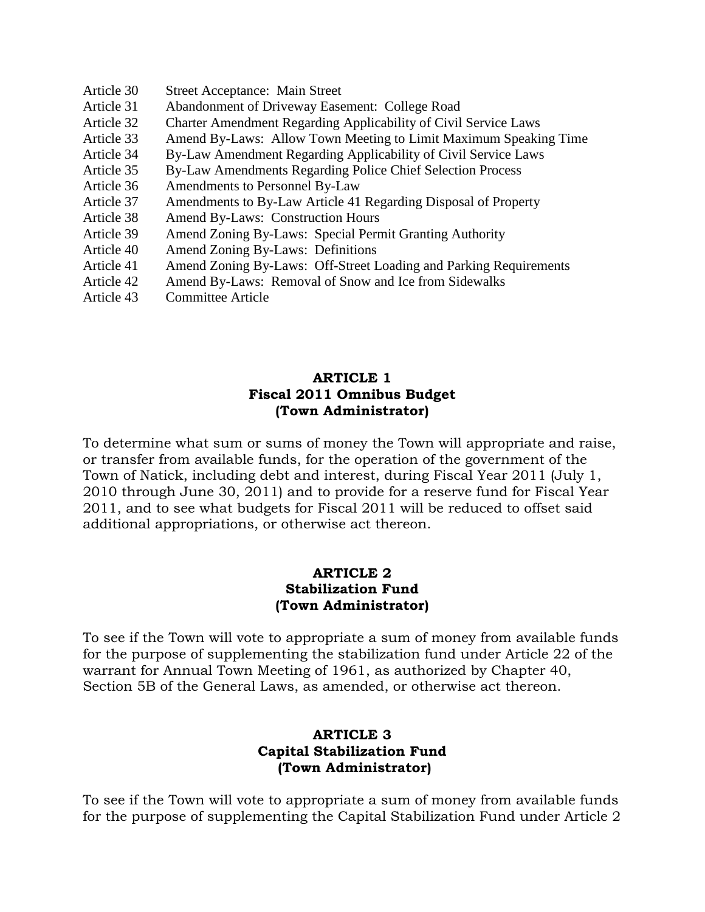- Article 30 Street Acceptance: Main Street
- Article 31 Abandonment of Driveway Easement: College Road
- Article 32 Charter Amendment Regarding Applicability of Civil Service Laws
- Article 33 Amend By-Laws: Allow Town Meeting to Limit Maximum Speaking Time
- Article 34 By-Law Amendment Regarding Applicability of Civil Service Laws
- Article 35 By-Law Amendments Regarding Police Chief Selection Process
- Article 36 Amendments to Personnel By-Law
- Article 37 Amendments to By-Law Article 41 Regarding Disposal of Property
- Article 38 Amend By-Laws: Construction Hours
- Article 39 Amend Zoning By-Laws: Special Permit Granting Authority
- Article 40 Amend Zoning By-Laws: Definitions
- Article 41 Amend Zoning By-Laws: Off-Street Loading and Parking Requirements
- Article 42 Amend By-Laws: Removal of Snow and Ice from Sidewalks
- Article 43 Committee Article

### **ARTICLE 1 Fiscal 2011 Omnibus Budget (Town Administrator)**

To determine what sum or sums of money the Town will appropriate and raise, or transfer from available funds, for the operation of the government of the Town of Natick, including debt and interest, during Fiscal Year 2011 (July 1, 2010 through June 30, 2011) and to provide for a reserve fund for Fiscal Year 2011, and to see what budgets for Fiscal 2011 will be reduced to offset said additional appropriations, or otherwise act thereon.

### **ARTICLE 2 Stabilization Fund (Town Administrator)**

To see if the Town will vote to appropriate a sum of money from available funds for the purpose of supplementing the stabilization fund under Article 22 of the warrant for Annual Town Meeting of 1961, as authorized by Chapter 40, Section 5B of the General Laws, as amended, or otherwise act thereon.

### **ARTICLE 3 Capital Stabilization Fund (Town Administrator)**

To see if the Town will vote to appropriate a sum of money from available funds for the purpose of supplementing the Capital Stabilization Fund under Article 2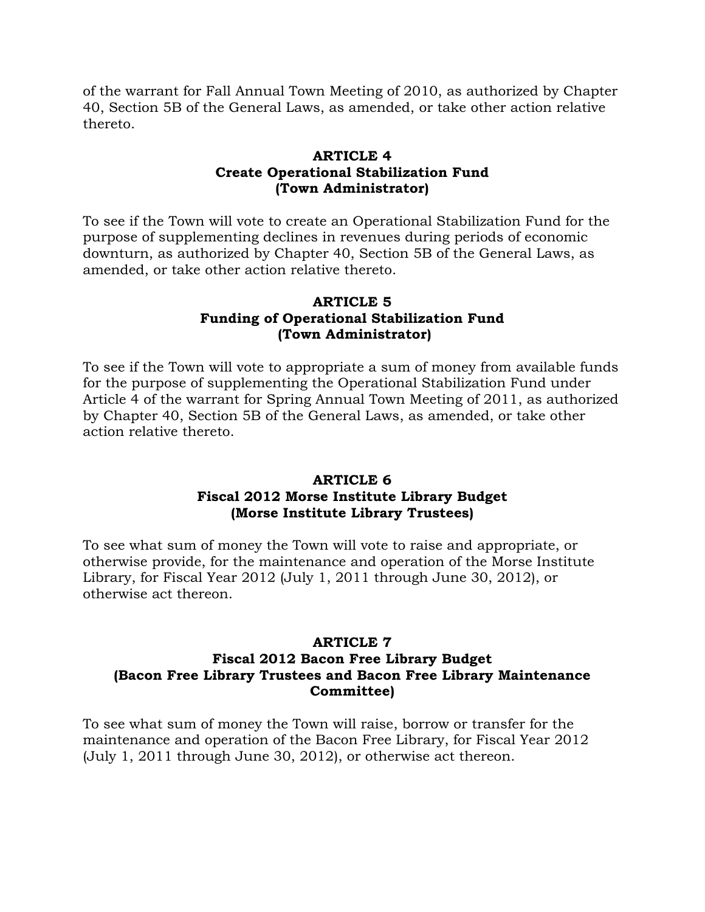of the warrant for Fall Annual Town Meeting of 2010, as authorized by Chapter 40, Section 5B of the General Laws, as amended, or take other action relative thereto.

## **ARTICLE 4 Create Operational Stabilization Fund (Town Administrator)**

To see if the Town will vote to create an Operational Stabilization Fund for the purpose of supplementing declines in revenues during periods of economic downturn, as authorized by Chapter 40, Section 5B of the General Laws, as amended, or take other action relative thereto.

## **ARTICLE 5 Funding of Operational Stabilization Fund (Town Administrator)**

To see if the Town will vote to appropriate a sum of money from available funds for the purpose of supplementing the Operational Stabilization Fund under Article 4 of the warrant for Spring Annual Town Meeting of 2011, as authorized by Chapter 40, Section 5B of the General Laws, as amended, or take other action relative thereto.

## **ARTICLE 6 Fiscal 2012 Morse Institute Library Budget (Morse Institute Library Trustees)**

To see what sum of money the Town will vote to raise and appropriate, or otherwise provide, for the maintenance and operation of the Morse Institute Library, for Fiscal Year 2012 (July 1, 2011 through June 30, 2012), or otherwise act thereon.

### **ARTICLE 7 Fiscal 2012 Bacon Free Library Budget (Bacon Free Library Trustees and Bacon Free Library Maintenance Committee)**

To see what sum of money the Town will raise, borrow or transfer for the maintenance and operation of the Bacon Free Library, for Fiscal Year 2012 (July 1, 2011 through June 30, 2012), or otherwise act thereon.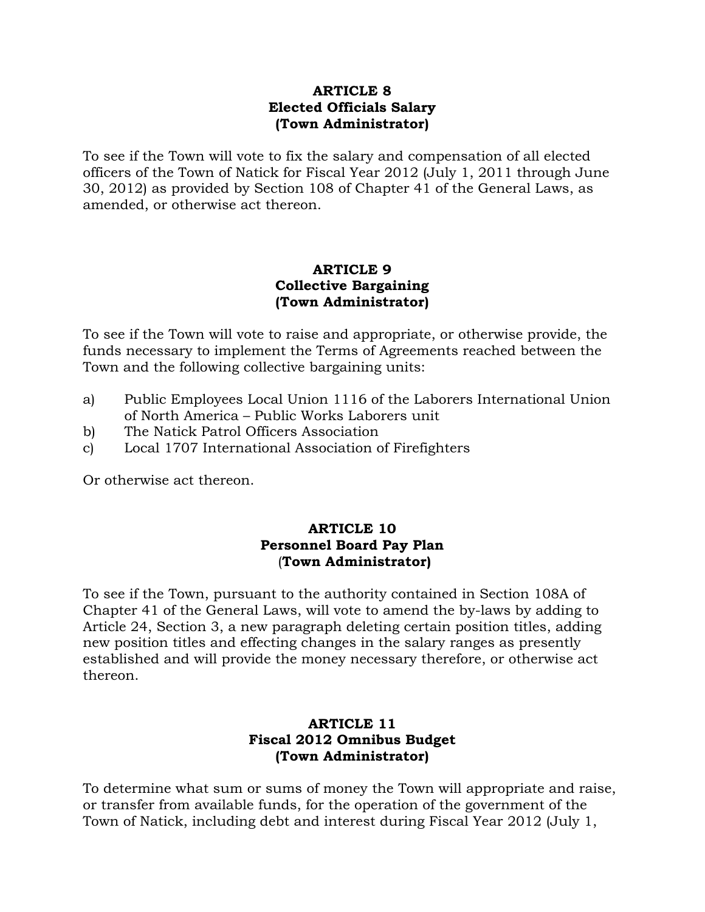### **ARTICLE 8 Elected Officials Salary (Town Administrator)**

To see if the Town will vote to fix the salary and compensation of all elected officers of the Town of Natick for Fiscal Year 2012 (July 1, 2011 through June 30, 2012) as provided by Section 108 of Chapter 41 of the General Laws, as amended, or otherwise act thereon.

## **ARTICLE 9 Collective Bargaining (Town Administrator)**

To see if the Town will vote to raise and appropriate, or otherwise provide, the funds necessary to implement the Terms of Agreements reached between the Town and the following collective bargaining units:

- a) Public Employees Local Union 1116 of the Laborers International Union of North America –Public Works Laborers unit
- b) The Natick Patrol Officers Association
- c) Local 1707 International Association of Firefighters

Or otherwise act thereon.

## **ARTICLE 10 Personnel Board Pay Plan** (**Town Administrator)**

To see if the Town, pursuant to the authority contained in Section 108A of Chapter 41 of the General Laws, will vote to amend the by-laws by adding to Article 24, Section 3, a new paragraph deleting certain position titles, adding new position titles and effecting changes in the salary ranges as presently established and will provide the money necessary therefore, or otherwise act thereon.

## **ARTICLE 11 Fiscal 2012 Omnibus Budget (Town Administrator)**

To determine what sum or sums of money the Town will appropriate and raise, or transfer from available funds, for the operation of the government of the Town of Natick, including debt and interest during Fiscal Year 2012 (July 1,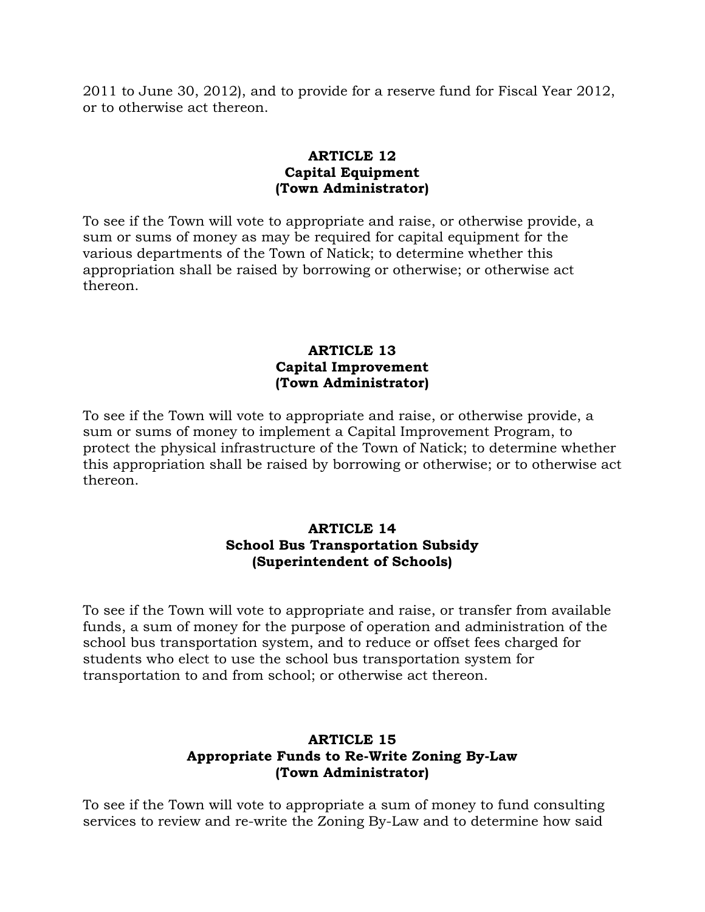2011 to June 30, 2012), and to provide for a reserve fund for Fiscal Year 2012, or to otherwise act thereon.

## **ARTICLE 12 Capital Equipment (Town Administrator)**

To see if the Town will vote to appropriate and raise, or otherwise provide, a sum or sums of money as may be required for capital equipment for the various departments of the Town of Natick; to determine whether this appropriation shall be raised by borrowing or otherwise; or otherwise act thereon.

### **ARTICLE 13 Capital Improvement (Town Administrator)**

To see if the Town will vote to appropriate and raise, or otherwise provide, a sum or sums of money to implement a Capital Improvement Program, to protect the physical infrastructure of the Town of Natick; to determine whether this appropriation shall be raised by borrowing or otherwise; or to otherwise act thereon.

### **ARTICLE 14 School Bus Transportation Subsidy (Superintendent of Schools)**

To see if the Town will vote to appropriate and raise, or transfer from available funds, a sum of money for the purpose of operation and administration of the school bus transportation system, and to reduce or offset fees charged for students who elect to use the school bus transportation system for transportation to and from school; or otherwise act thereon.

## **ARTICLE 15 Appropriate Funds to Re-Write Zoning By-Law (Town Administrator)**

To see if the Town will vote to appropriate a sum of money to fund consulting services to review and re-write the Zoning By-Law and to determine how said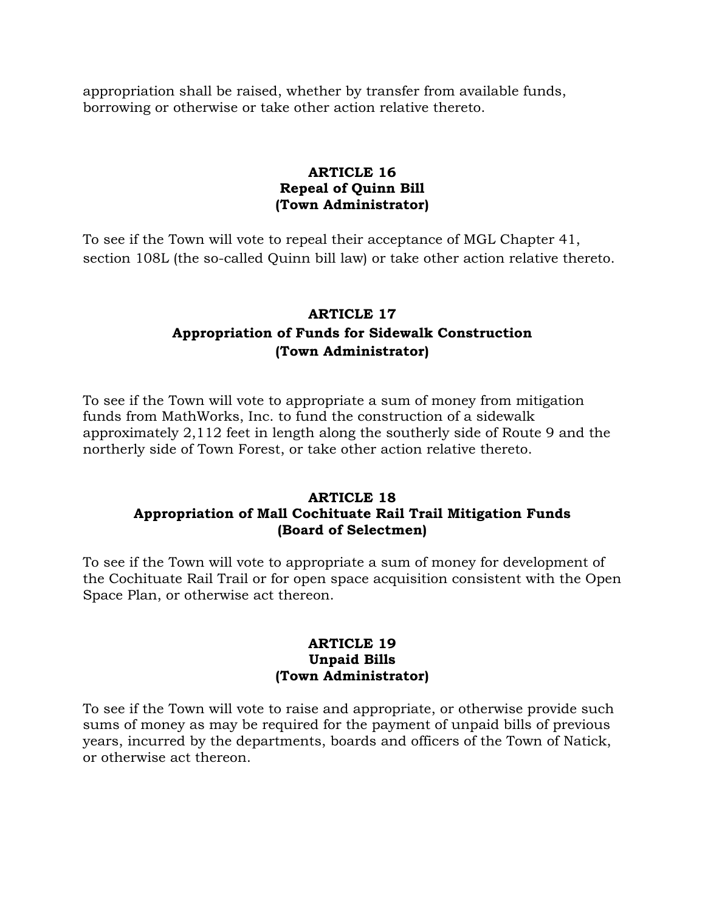appropriation shall be raised, whether by transfer from available funds, borrowing or otherwise or take other action relative thereto.

## **ARTICLE 16 Repeal of Quinn Bill (Town Administrator)**

To see if the Town will vote to repeal their acceptance of MGL Chapter 41, section 108L (the so-called Quinn bill law) or take other action relative thereto.

## **ARTICLE 17 Appropriation of Funds for Sidewalk Construction (Town Administrator)**

To see if the Town will vote to appropriate a sum of money from mitigation funds from MathWorks, Inc. to fund the construction of a sidewalk approximately 2,112 feet in length along the southerly side of Route 9 and the northerly side of Town Forest, or take other action relative thereto.

## **ARTICLE 18 Appropriation of Mall Cochituate Rail Trail Mitigation Funds (Board of Selectmen)**

To see if the Town will vote to appropriate a sum of money for development of the Cochituate Rail Trail or for open space acquisition consistent with the Open Space Plan, or otherwise act thereon.

### **ARTICLE 19 Unpaid Bills (Town Administrator)**

To see if the Town will vote to raise and appropriate, or otherwise provide such sums of money as may be required for the payment of unpaid bills of previous years, incurred by the departments, boards and officers of the Town of Natick, or otherwise act thereon.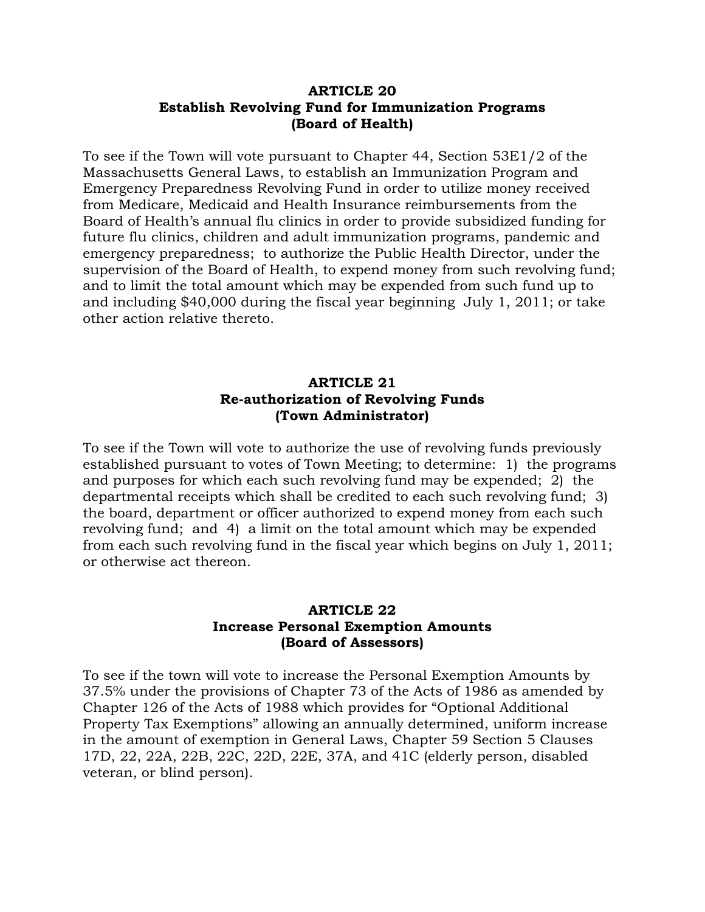### **ARTICLE 20 Establish Revolving Fund for Immunization Programs (Board of Health)**

To see if the Town will vote pursuant to Chapter 44, Section 53E1/2 of the Massachusetts General Laws, to establish an Immunization Program and Emergency Preparedness Revolving Fund in order to utilize money received from Medicare, Medicaid and Health Insurance reimbursements from the Board of Health's annual flu clinics in order to provide subsidized funding for future flu clinics, children and adult immunization programs, pandemic and emergency preparedness; to authorize the Public Health Director, under the supervision of the Board of Health, to expend money from such revolving fund; and to limit the total amount which may be expended from such fund up to and including \$40,000 during the fiscal year beginning July 1, 2011; or take other action relative thereto.

### **ARTICLE 21 Re-authorization of Revolving Funds (Town Administrator)**

To see if the Town will vote to authorize the use of revolving funds previously established pursuant to votes of Town Meeting; to determine: 1) the programs and purposes for which each such revolving fund may be expended; 2) the departmental receipts which shall be credited to each such revolving fund; 3) the board, department or officer authorized to expend money from each such revolving fund; and 4) a limit on the total amount which may be expended from each such revolving fund in the fiscal year which begins on July 1, 2011; or otherwise act thereon.

## **ARTICLE 22 Increase Personal Exemption Amounts (Board of Assessors)**

To see if the town will vote to increase the Personal Exemption Amounts by 37.5% under the provisions of Chapter 73 of the Acts of 1986 as amended by Chapter 126 of the Acts of 1988 which provides for "Optional Additional Property Tax Exemptions"allowing an annually determined, uniform increase in the amount of exemption in General Laws, Chapter 59 Section 5 Clauses 17D, 22, 22A, 22B, 22C, 22D, 22E, 37A, and 41C (elderly person, disabled veteran, or blind person).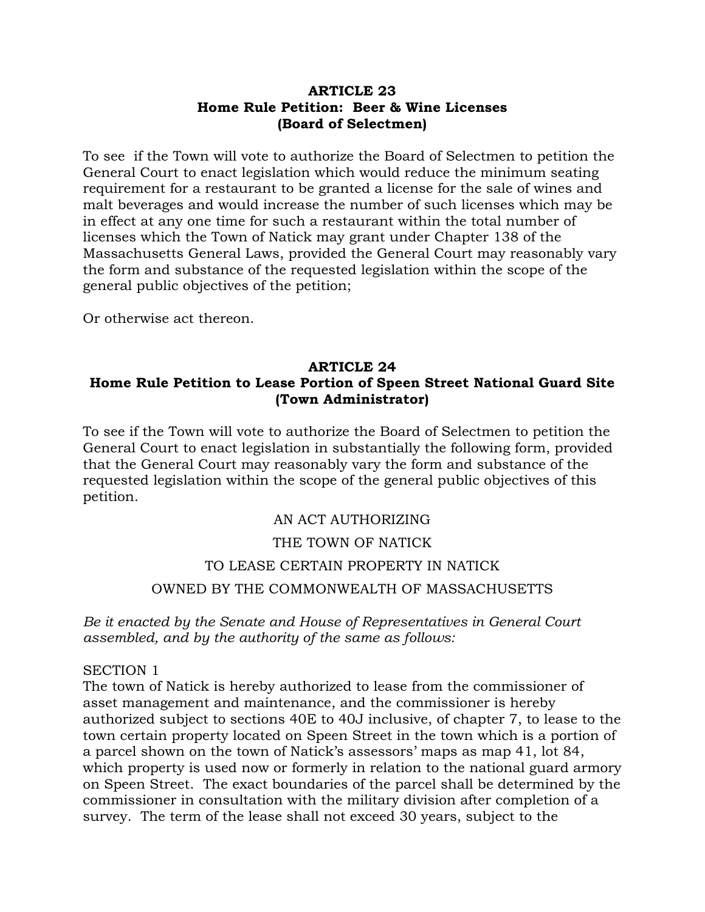### **ARTICLE 23 Home Rule Petition: Beer & Wine Licenses (Board of Selectmen)**

To see if the Town will vote to authorize the Board of Selectmen to petition the General Court to enact legislation which would reduce the minimum seating requirement for a restaurant to be granted a license for the sale of wines and malt beverages and would increase the number of such licenses which may be in effect at any one time for such a restaurant within the total number of licenses which the Town of Natick may grant under Chapter 138 of the Massachusetts General Laws, provided the General Court may reasonably vary the form and substance of the requested legislation within the scope of the general public objectives of the petition;

Or otherwise act thereon.

## **ARTICLE 24 Home Rule Petition to Lease Portion of Speen Street National Guard Site (Town Administrator)**

To see if the Town will vote to authorize the Board of Selectmen to petition the General Court to enact legislation in substantially the following form, provided that the General Court may reasonably vary the form and substance of the requested legislation within the scope of the general public objectives of this petition.

## AN ACT AUTHORIZING

#### THE TOWN OF NATICK

# TO LEASE CERTAIN PROPERTY IN NATICK OWNED BY THE COMMONWEALTH OF MASSACHUSETTS

*Be it enacted by the Senate and House of Representatives in General Court assembled, and by the authority of the same as follows:*

#### SECTION 1

The town of Natick is hereby authorized to lease from the commissioner of asset management and maintenance, and the commissioner is hereby authorized subject to sections 40E to 40J inclusive, of chapter 7, to lease to the town certain property located on Speen Street in the town which is a portion of a parcel shown on the town of Natick's assessors'maps as map 41, lot 84, which property is used now or formerly in relation to the national guard armory on Speen Street. The exact boundaries of the parcel shall be determined by the commissioner in consultation with the military division after completion of a survey. The term of the lease shall not exceed 30 years, subject to the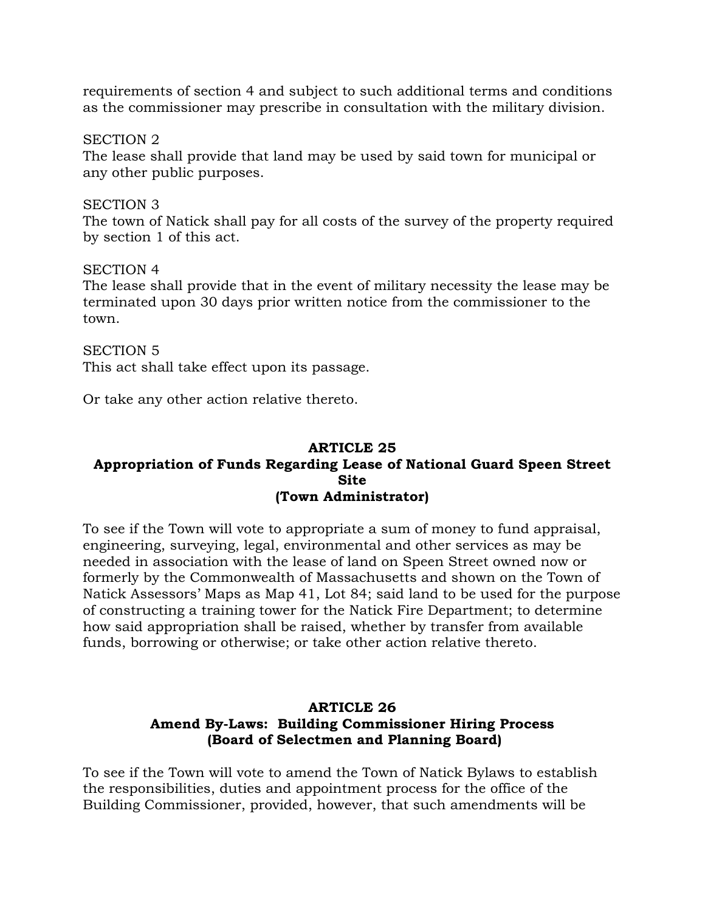requirements of section 4 and subject to such additional terms and conditions as the commissioner may prescribe in consultation with the military division.

SECTION 2

The lease shall provide that land may be used by said town for municipal or any other public purposes.

SECTION 3

The town of Natick shall pay for all costs of the survey of the property required by section 1 of this act.

SECTION 4

The lease shall provide that in the event of military necessity the lease may be terminated upon 30 days prior written notice from the commissioner to the town.

SECTION 5 This act shall take effect upon its passage.

Or take any other action relative thereto.

### **ARTICLE 25 Appropriation of Funds Regarding Lease of National Guard Speen Street Site (Town Administrator)**

To see if the Town will vote to appropriate a sum of money to fund appraisal, engineering, surveying, legal, environmental and other services as may be needed in association with the lease of land on Speen Street owned now or formerly by the Commonwealth of Massachusetts and shown on the Town of Natick Assessors'Maps as Map 41, Lot 84; said land to be used for the purpose of constructing a training tower for the Natick Fire Department; to determine how said appropriation shall be raised, whether by transfer from available funds, borrowing or otherwise; or take other action relative thereto.

## **ARTICLE 26 Amend By-Laws: Building Commissioner Hiring Process (Board of Selectmen and Planning Board)**

To see if the Town will vote to amend the Town of Natick Bylaws to establish the responsibilities, duties and appointment process for the office of the Building Commissioner, provided, however, that such amendments will be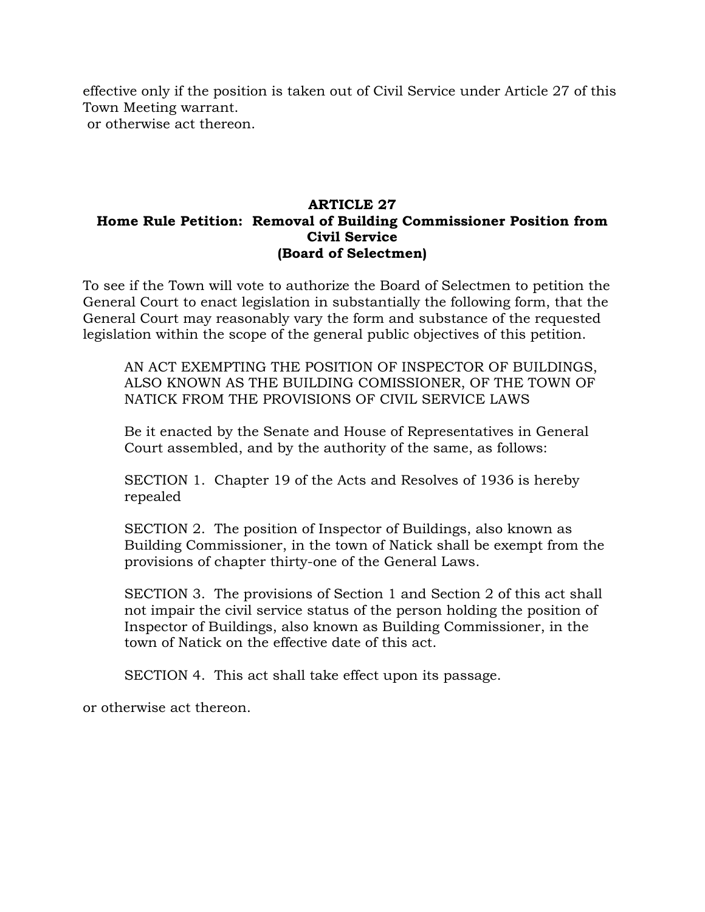effective only if the position is taken out of Civil Service under Article 27 of this Town Meeting warrant. or otherwise act thereon.

### **ARTICLE 27 Home Rule Petition: Removal of Building Commissioner Position from Civil Service (Board of Selectmen)**

To see if the Town will vote to authorize the Board of Selectmen to petition the General Court to enact legislation in substantially the following form, that the General Court may reasonably vary the form and substance of the requested legislation within the scope of the general public objectives of this petition.

AN ACT EXEMPTING THE POSITION OF INSPECTOR OF BUILDINGS, ALSO KNOWN AS THE BUILDING COMISSIONER, OF THE TOWN OF NATICK FROM THE PROVISIONS OF CIVIL SERVICE LAWS

Be it enacted by the Senate and House of Representatives in General Court assembled, and by the authority of the same, as follows:

SECTION 1. Chapter 19 of the Acts and Resolves of 1936 is hereby repealed

SECTION 2. The position of Inspector of Buildings, also known as Building Commissioner, in the town of Natick shall be exempt from the provisions of chapter thirty-one of the General Laws.

SECTION 3. The provisions of Section 1 and Section 2 of this act shall not impair the civil service status of the person holding the position of Inspector of Buildings, also known as Building Commissioner, in the town of Natick on the effective date of this act.

SECTION 4. This act shall take effect upon its passage.

or otherwise act thereon.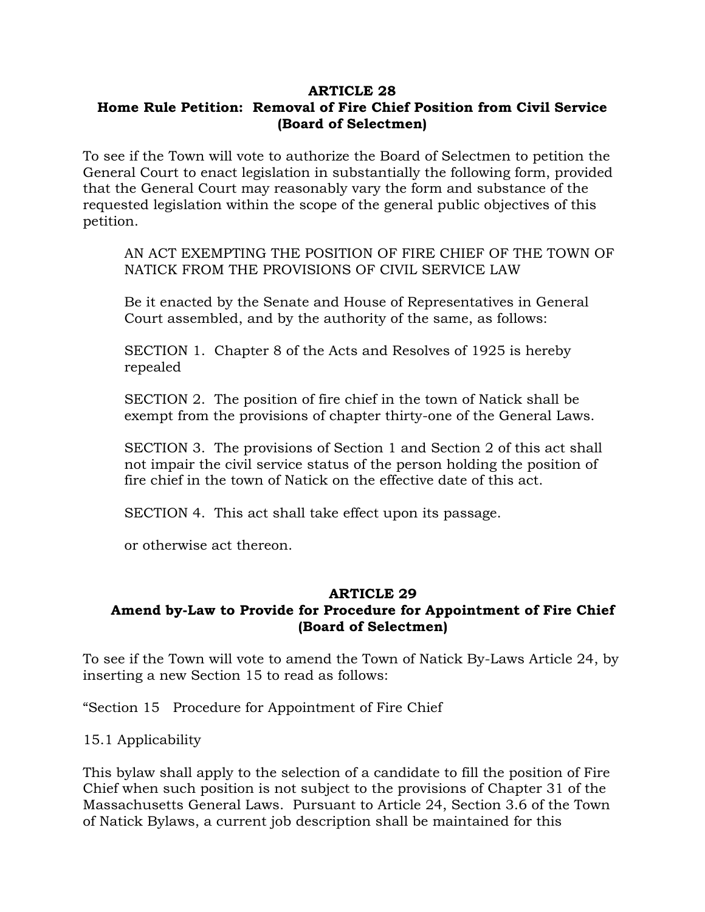### **ARTICLE 28 Home Rule Petition: Removal of Fire Chief Position from Civil Service (Board of Selectmen)**

To see if the Town will vote to authorize the Board of Selectmen to petition the General Court to enact legislation in substantially the following form, provided that the General Court may reasonably vary the form and substance of the requested legislation within the scope of the general public objectives of this petition.

AN ACT EXEMPTING THE POSITION OF FIRE CHIEF OF THE TOWN OF NATICK FROM THE PROVISIONS OF CIVIL SERVICE LAW

Be it enacted by the Senate and House of Representatives in General Court assembled, and by the authority of the same, as follows:

SECTION 1. Chapter 8 of the Acts and Resolves of 1925 is hereby repealed

SECTION 2. The position of fire chief in the town of Natick shall be exempt from the provisions of chapter thirty-one of the General Laws.

SECTION 3. The provisions of Section 1 and Section 2 of this act shall not impair the civil service status of the person holding the position of fire chief in the town of Natick on the effective date of this act.

SECTION 4. This act shall take effect upon its passage.

or otherwise act thereon.

### **ARTICLE 29 Amend by-Law to Provide for Procedure for Appointment of Fire Chief**

**(Board of Selectmen)**

To see if the Town will vote to amend the Town of Natick By-Laws Article 24, by inserting a new Section 15 to read as follows:

"Section 15 Procedure for Appointment of Fire Chief

15.1 Applicability

This bylaw shall apply to the selection of a candidate to fill the position of Fire Chief when such position is not subject to the provisions of Chapter 31 of the Massachusetts General Laws. Pursuant to Article 24, Section 3.6 of the Town of Natick Bylaws, a current job description shall be maintained for this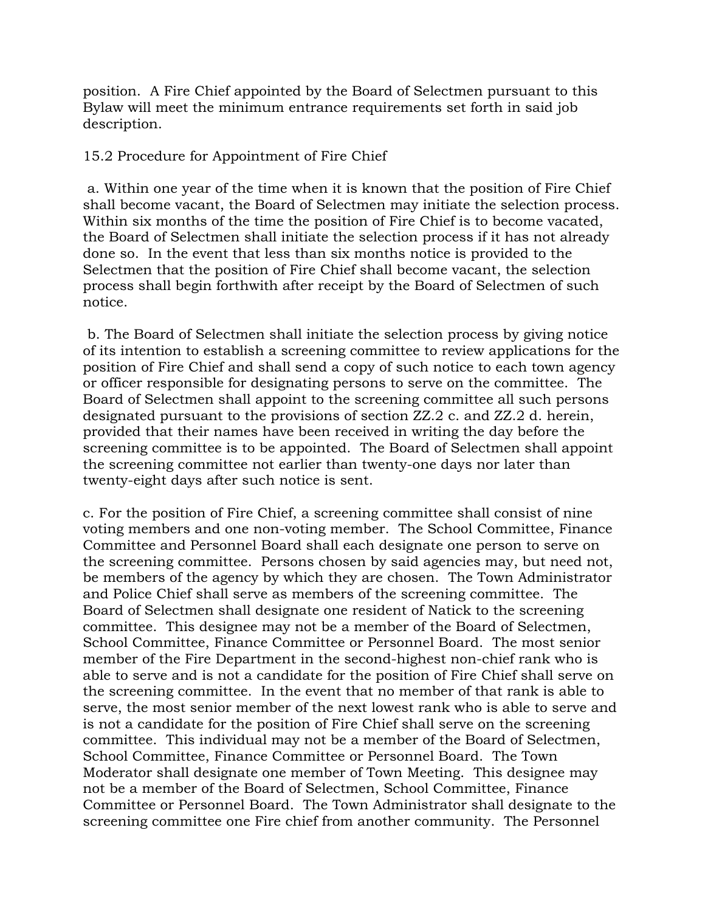position. A Fire Chief appointed by the Board of Selectmen pursuant to this Bylaw will meet the minimum entrance requirements set forth in said job description.

15.2 Procedure for Appointment of Fire Chief

a. Within one year of the time when it is known that the position of Fire Chief shall become vacant, the Board of Selectmen may initiate the selection process. Within six months of the time the position of Fire Chief is to become vacated, the Board of Selectmen shall initiate the selection process if it has not already done so. In the event that less than six months notice is provided to the Selectmen that the position of Fire Chief shall become vacant, the selection process shall begin forthwith after receipt by the Board of Selectmen of such notice.

b. The Board of Selectmen shall initiate the selection process by giving notice of its intention to establish a screening committee to review applications for the position of Fire Chief and shall send a copy of such notice to each town agency or officer responsible for designating persons to serve on the committee. The Board of Selectmen shall appoint to the screening committee all such persons designated pursuant to the provisions of section ZZ.2 c. and ZZ.2 d. herein, provided that their names have been received in writing the day before the screening committee is to be appointed. The Board of Selectmen shall appoint the screening committee not earlier than twenty-one days nor later than twenty-eight days after such notice is sent.

c. For the position of Fire Chief, a screening committee shall consist of nine voting members and one non-voting member. The School Committee, Finance Committee and Personnel Board shall each designate one person to serve on the screening committee. Persons chosen by said agencies may, but need not, be members of the agency by which they are chosen. The Town Administrator and Police Chief shall serve as members of the screening committee. The Board of Selectmen shall designate one resident of Natick to the screening committee. This designee may not be a member of the Board of Selectmen, School Committee, Finance Committee or Personnel Board. The most senior member of the Fire Department in the second-highest non-chief rank who is able to serve and is not a candidate for the position of Fire Chief shall serve on the screening committee. In the event that no member of that rank is able to serve, the most senior member of the next lowest rank who is able to serve and is not a candidate for the position of Fire Chief shall serve on the screening committee. This individual may not be a member of the Board of Selectmen, School Committee, Finance Committee or Personnel Board. The Town Moderator shall designate one member of Town Meeting. This designee may not be a member of the Board of Selectmen, School Committee, Finance Committee or Personnel Board. The Town Administrator shall designate to the screening committee one Fire chief from another community. The Personnel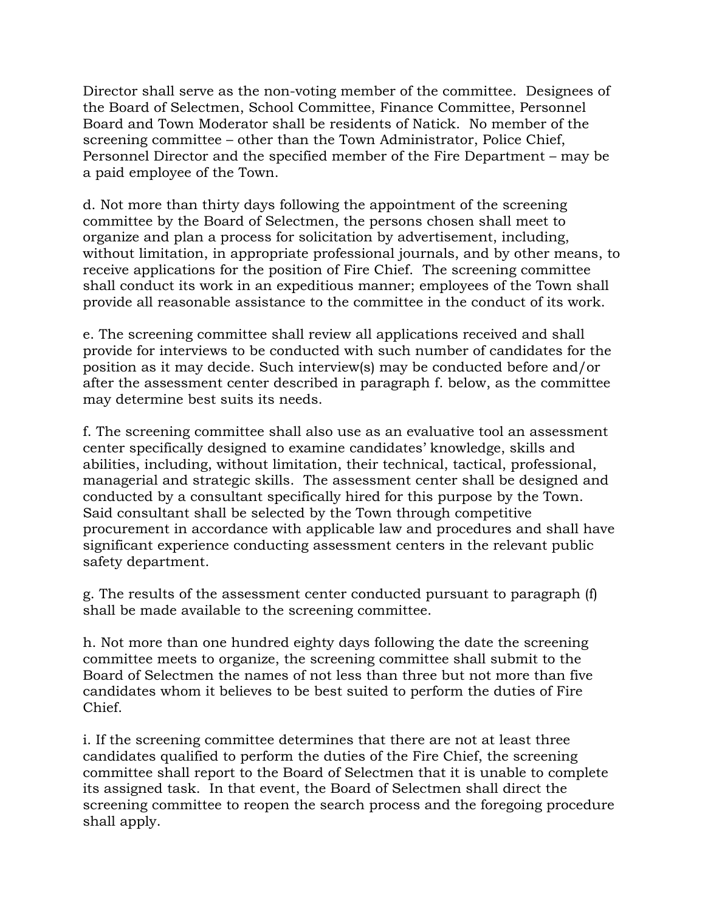Director shall serve as the non-voting member of the committee. Designees of the Board of Selectmen, School Committee, Finance Committee, Personnel Board and Town Moderator shall be residents of Natick. No member of the screening committee – other than the Town Administrator, Police Chief, Personnel Director and the specified member of the Fire Department –may be a paid employee of the Town.

d. Not more than thirty days following the appointment of the screening committee by the Board of Selectmen, the persons chosen shall meet to organize and plan a process for solicitation by advertisement, including, without limitation, in appropriate professional journals, and by other means, to receive applications for the position of Fire Chief. The screening committee shall conduct its work in an expeditious manner; employees of the Town shall provide all reasonable assistance to the committee in the conduct of its work.

e. The screening committee shall review all applications received and shall provide for interviews to be conducted with such number of candidates for the position as it may decide. Such interview(s) may be conducted before and/or after the assessment center described in paragraph f. below, as the committee may determine best suits its needs.

f. The screening committee shall also use as an evaluative tool an assessment center specifically designed to examine candidates'knowledge, skills and abilities, including, without limitation, their technical, tactical, professional, managerial and strategic skills. The assessment center shall be designed and conducted by a consultant specifically hired for this purpose by the Town. Said consultant shall be selected by the Town through competitive procurement in accordance with applicable law and procedures and shall have significant experience conducting assessment centers in the relevant public safety department.

g. The results of the assessment center conducted pursuant to paragraph (f) shall be made available to the screening committee.

h. Not more than one hundred eighty days following the date the screening committee meets to organize, the screening committee shall submit to the Board of Selectmen the names of not less than three but not more than five candidates whom it believes to be best suited to perform the duties of Fire Chief.

i. If the screening committee determines that there are not at least three candidates qualified to perform the duties of the Fire Chief, the screening committee shall report to the Board of Selectmen that it is unable to complete its assigned task. In that event, the Board of Selectmen shall direct the screening committee to reopen the search process and the foregoing procedure shall apply.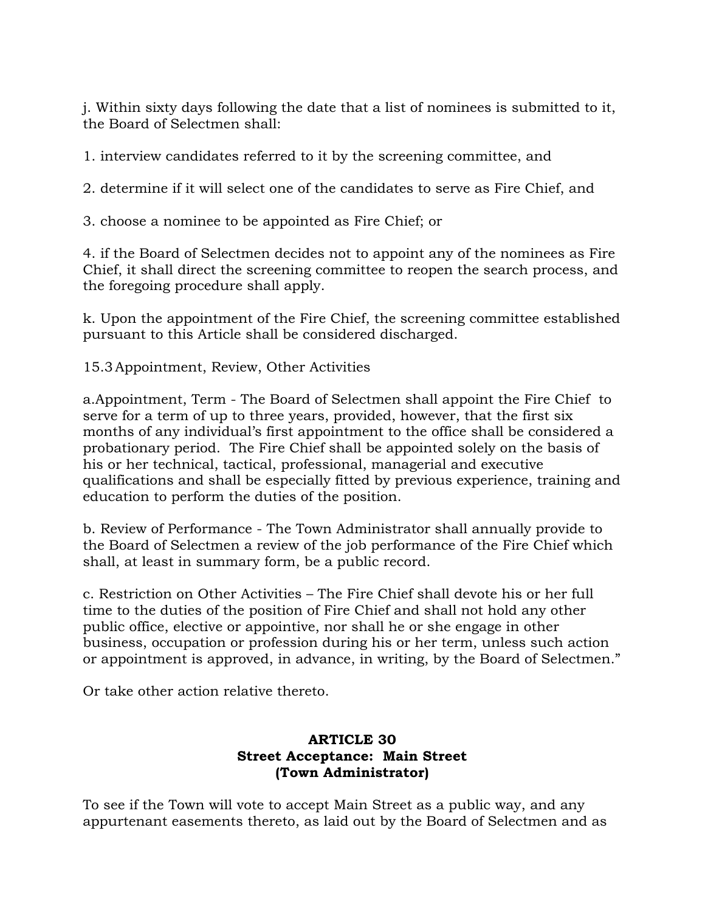j. Within sixty days following the date that a list of nominees is submitted to it, the Board of Selectmen shall:

1. interview candidates referred to it by the screening committee, and

2. determine if it will select one of the candidates to serve as Fire Chief, and

3. choose a nominee to be appointed as Fire Chief; or

4. if the Board of Selectmen decides not to appoint any of the nominees as Fire Chief, it shall direct the screening committee to reopen the search process, and the foregoing procedure shall apply.

k. Upon the appointment of the Fire Chief, the screening committee established pursuant to this Article shall be considered discharged.

15.3Appointment, Review, Other Activities

a.Appointment, Term - The Board of Selectmen shall appoint the Fire Chief to serve for a term of up to three years, provided, however, that the first six months of any individual's first appointment to the office shall be considered a probationary period. The Fire Chief shall be appointed solely on the basis of his or her technical, tactical, professional, managerial and executive qualifications and shall be especially fitted by previous experience, training and education to perform the duties of the position.

b. Review of Performance - The Town Administrator shall annually provide to the Board of Selectmen a review of the job performance of the Fire Chief which shall, at least in summary form, be a public record.

c. Restriction on Other Activities –The Fire Chief shall devote his or her full time to the duties of the position of Fire Chief and shall not hold any other public office, elective or appointive, nor shall he or she engage in other business, occupation or profession during his or her term, unless such action or appointment is approved, in advance, in writing, by the Board of Selectmen."

Or take other action relative thereto.

## **ARTICLE 30 Street Acceptance: Main Street (Town Administrator)**

To see if the Town will vote to accept Main Street as a public way, and any appurtenant easements thereto, as laid out by the Board of Selectmen and as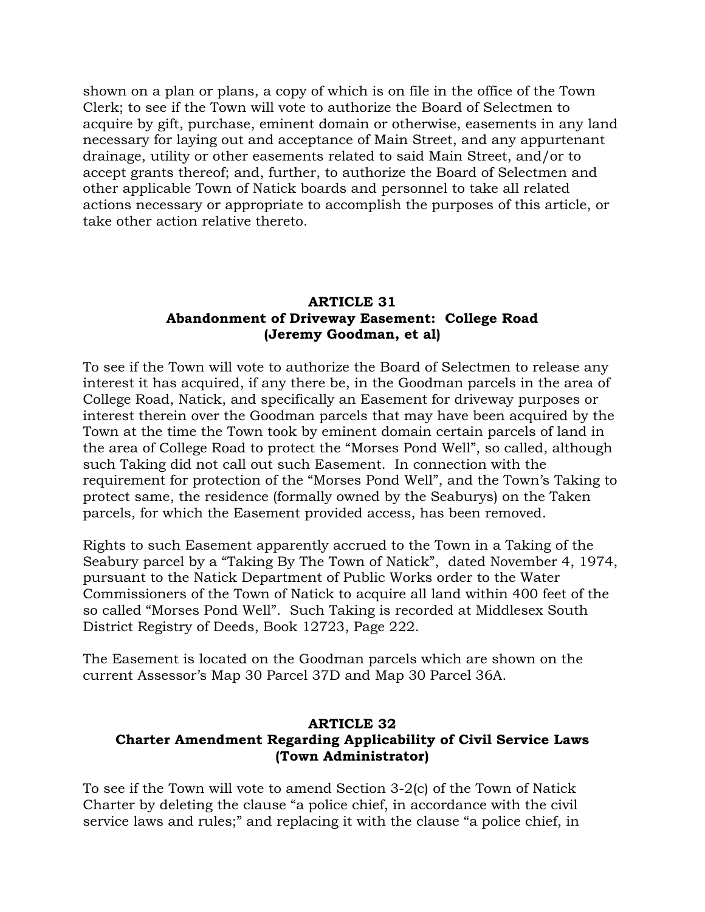shown on a plan or plans, a copy of which is on file in the office of the Town Clerk; to see if the Town will vote to authorize the Board of Selectmen to acquire by gift, purchase, eminent domain or otherwise, easements in any land necessary for laying out and acceptance of Main Street, and any appurtenant drainage, utility or other easements related to said Main Street, and/or to accept grants thereof; and, further, to authorize the Board of Selectmen and other applicable Town of Natick boards and personnel to take all related actions necessary or appropriate to accomplish the purposes of this article, or take other action relative thereto.

## **ARTICLE 31 Abandonment of Driveway Easement: College Road (Jeremy Goodman, et al)**

To see if the Town will vote to authorize the Board of Selectmen to release any interest it has acquired, if any there be, in the Goodman parcels in the area of College Road, Natick, and specifically an Easement for driveway purposes or interest therein over the Goodman parcels that may have been acquired by the Town at the time the Town took by eminent domain certain parcels of land in the area of College Road to protect the "Morses Pond Well", so called, although such Taking did not call out such Easement. In connection with the requirement for protection of the "Morses Pond Well", and the Town's Taking to protect same, the residence (formally owned by the Seaburys) on the Taken parcels, for which the Easement provided access, has been removed.

Rights to such Easement apparently accrued to the Town in a Taking of the Seabury parcel by a "Taking By The Town of Natick", dated November 4, 1974, pursuant to the Natick Department of Public Works order to the Water Commissioners of the Town of Natick to acquire all land within 400 feet of the so called "Morses Pond Well". Such Taking is recorded at Middlesex South District Registry of Deeds, Book 12723, Page 222.

The Easement is located on the Goodman parcels which are shown on the current Assessor's Map 30 Parcel 37D and Map 30 Parcel 36A.

## **ARTICLE 32 Charter Amendment Regarding Applicability of Civil Service Laws (Town Administrator)**

To see if the Town will vote to amend Section 3-2(c) of the Town of Natick Charter by deleting the clause "a police chief, in accordance with the civil service laws and rules;" and replacing it with the clause "a police chief, in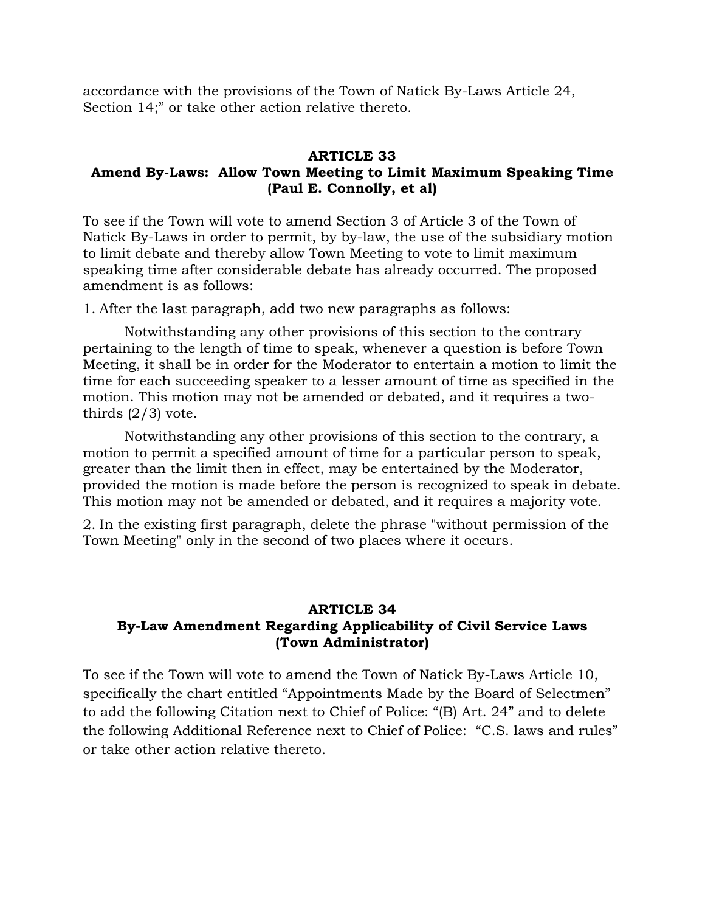accordance with the provisions of the Town of Natick By-Laws Article 24, Section 14;" or take other action relative thereto.

## **ARTICLE 33**

## **Amend By-Laws: Allow Town Meeting to Limit Maximum Speaking Time (Paul E. Connolly, et al)**

To see if the Town will vote to amend Section 3 of Article 3 of the Town of Natick By-Laws in order to permit, by by-law, the use of the subsidiary motion to limit debate and thereby allow Town Meeting to vote to limit maximum speaking time after considerable debate has already occurred. The proposed amendment is as follows:

1. After the last paragraph, add two new paragraphs as follows:

Notwithstanding any other provisions of this section to the contrary pertaining to the length of time to speak, whenever a question is before Town Meeting, it shall be in order for the Moderator to entertain a motion to limit the time for each succeeding speaker to a lesser amount of time as specified in the motion. This motion may not be amended or debated, and it requires a twothirds  $(2/3)$  vote.

Notwithstanding any other provisions of this section to the contrary, a motion to permit a specified amount of time for a particular person to speak, greater than the limit then in effect, may be entertained by the Moderator, provided the motion is made before the person is recognized to speak in debate. This motion may not be amended or debated, and it requires a majority vote.

2. In the existing first paragraph, delete the phrase "without permission of the Town Meeting" only in the second of two places where it occurs.

## **ARTICLE 34 By-Law Amendment Regarding Applicability of Civil Service Laws (Town Administrator)**

To see if the Town will vote to amend the Town of Natick By-Laws Article 10, specifically the chart entitled "Appointments Made by the Board of Selectmen" to add the following Citation next to Chief of Police: "(B) Art. 24" and to delete the following Additional Reference next to Chief of Police: "C.S. laws and rules" or take other action relative thereto.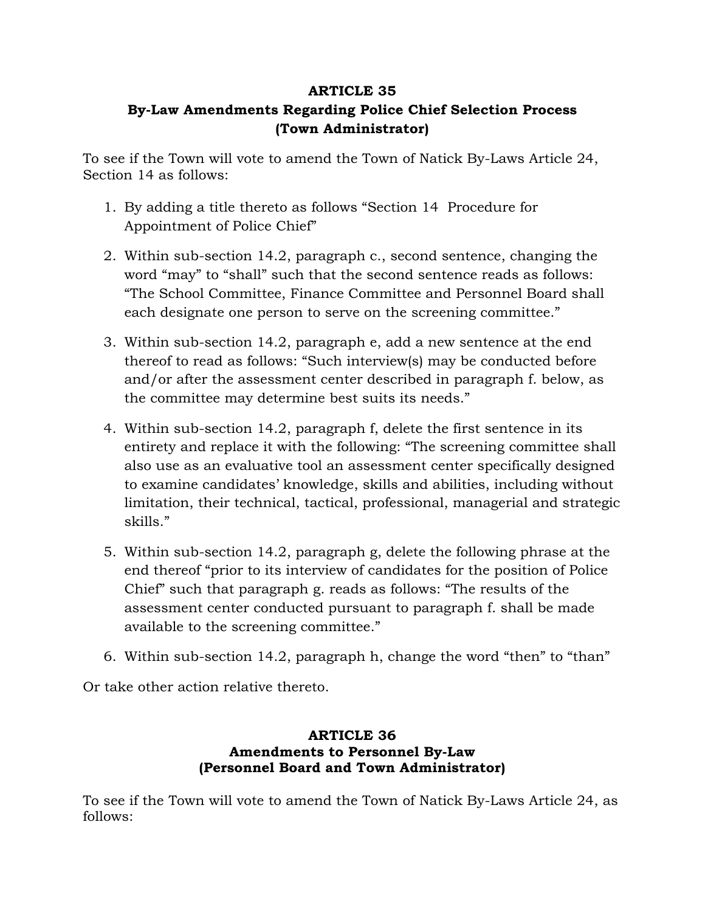## **ARTICLE 35 By-Law Amendments Regarding Police Chief Selection Process (Town Administrator)**

To see if the Town will vote to amend the Town of Natick By-Laws Article 24, Section 14 as follows:

- 1. By adding a title thereto as follows "Section 14 Procedure for Appointment of Police Chief"
- 2. Within sub-section 14.2, paragraph c., second sentence, changing the word "may" to "shall" such that the second sentence reads as follows: "The School Committee, Finance Committee and Personnel Board shall each designate one person to serve on the screening committee."
- 3. Within sub-section 14.2, paragraph e, add a new sentence at the end thereof to read as follows: "Such interview(s) may be conducted before and/or after the assessment center described in paragraph f. below, as the committee may determine best suits its needs."
- 4. Within sub-section 14.2, paragraph f, delete the first sentence in its entirety and replace it with the following: "The screening committee shall also use as an evaluative tool an assessment center specifically designed to examine candidates'knowledge, skills and abilities, including without limitation, their technical, tactical, professional, managerial and strategic skills."
- 5. Within sub-section 14.2, paragraph g, delete the following phrase at the end thereof "prior to its interview of candidates for the position of Police Chief" such that paragraph g. reads as follows: "The results of the assessment center conducted pursuant to paragraph f. shall be made available to the screening committee."
- 6. Within sub-section 14.2, paragraph h, change the word "then" to "than"

Or take other action relative thereto.

## **ARTICLE 36 Amendments to Personnel By-Law (Personnel Board and Town Administrator)**

To see if the Town will vote to amend the Town of Natick By-Laws Article 24, as follows: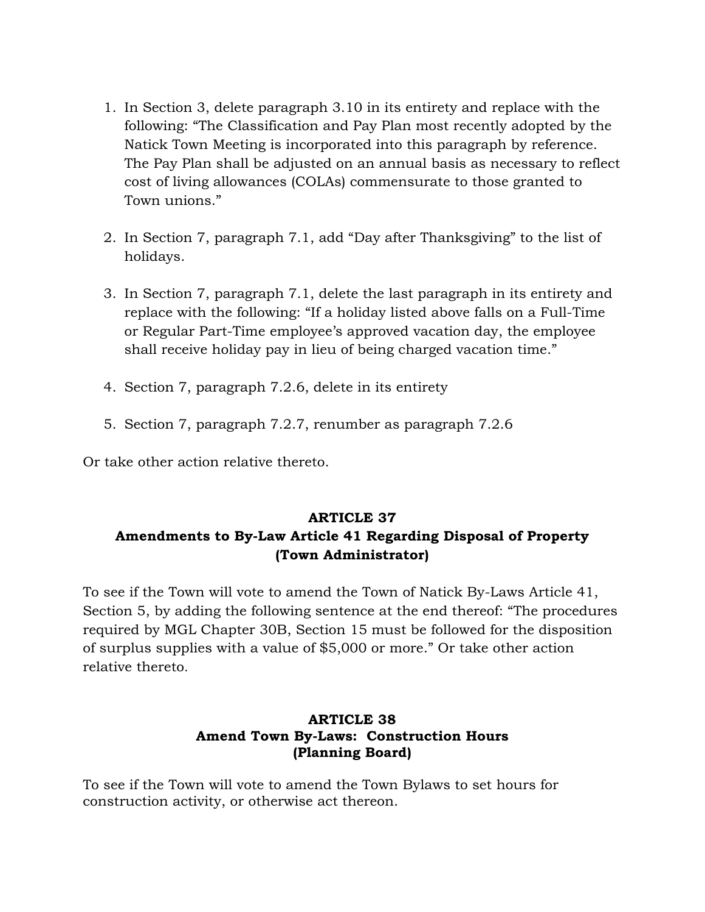- 1. In Section 3, delete paragraph 3.10 in its entirety and replace with the following: "The Classification and Pay Plan most recently adopted by the Natick Town Meeting is incorporated into this paragraph by reference. The Pay Plan shall be adjusted on an annual basis as necessary to reflect cost of living allowances (COLAs) commensurate to those granted to Town unions."
- 2. In Section 7, paragraph 7.1, add "Day after Thanksgiving" to the list of holidays.
- 3. In Section 7, paragraph 7.1, delete the last paragraph in its entirety and replace with the following: "If a holiday listed above falls on a Full-Time or Regular Part-Time employee's approved vacation day, the employee shall receive holiday pay in lieu of being charged vacation time."
- 4. Section 7, paragraph 7.2.6, delete in its entirety
- 5. Section 7, paragraph 7.2.7, renumber as paragraph 7.2.6

Or take other action relative thereto.

# **ARTICLE 37 Amendments to By-Law Article 41 Regarding Disposal of Property (Town Administrator)**

To see if the Town will vote to amend the Town of Natick By-Laws Article 41, Section 5, by adding the following sentence at the end thereof: "The procedures required by MGL Chapter 30B, Section 15 must be followed for the disposition of surplus supplies with a value of \$5,000 or more."Or take other action relative thereto.

## **ARTICLE 38 Amend Town By-Laws: Construction Hours (Planning Board)**

To see if the Town will vote to amend the Town Bylaws to set hours for construction activity, or otherwise act thereon.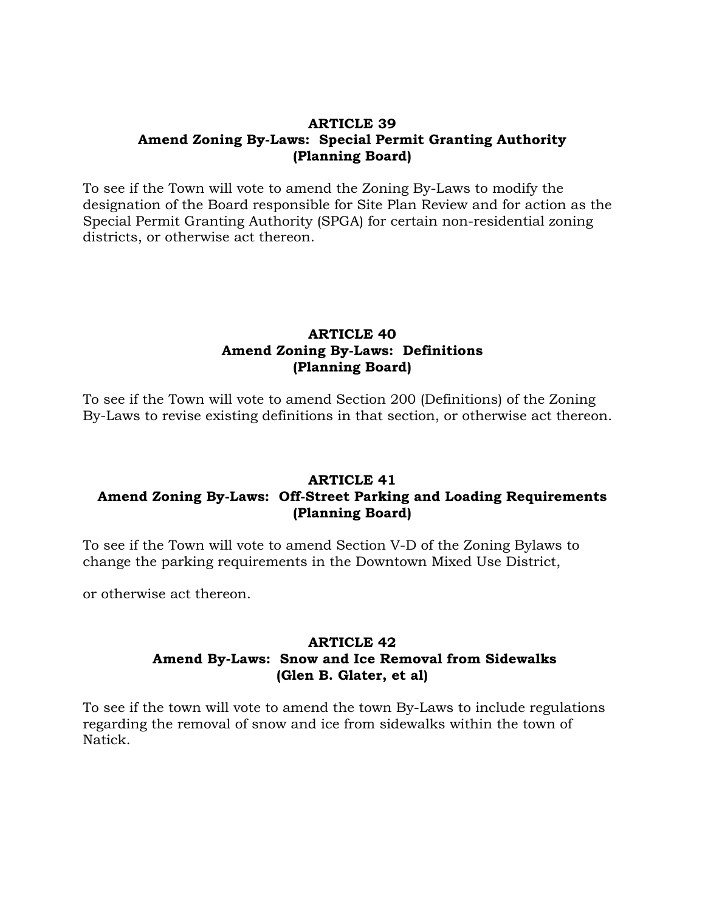### **ARTICLE 39 Amend Zoning By-Laws: Special Permit Granting Authority (Planning Board)**

To see if the Town will vote to amend the Zoning By-Laws to modify the designation of the Board responsible for Site Plan Review and for action as the Special Permit Granting Authority (SPGA) for certain non-residential zoning districts, or otherwise act thereon.

## **ARTICLE 40 Amend Zoning By-Laws: Definitions (Planning Board)**

To see if the Town will vote to amend Section 200 (Definitions) of the Zoning By-Laws to revise existing definitions in that section, or otherwise act thereon.

## **ARTICLE 41 Amend Zoning By-Laws: Off-Street Parking and Loading Requirements (Planning Board)**

To see if the Town will vote to amend Section V-D of the Zoning Bylaws to change the parking requirements in the Downtown Mixed Use District,

or otherwise act thereon.

### **ARTICLE 42 Amend By-Laws: Snow and Ice Removal from Sidewalks (Glen B. Glater, et al)**

To see if the town will vote to amend the town By-Laws to include regulations regarding the removal of snow and ice from sidewalks within the town of Natick.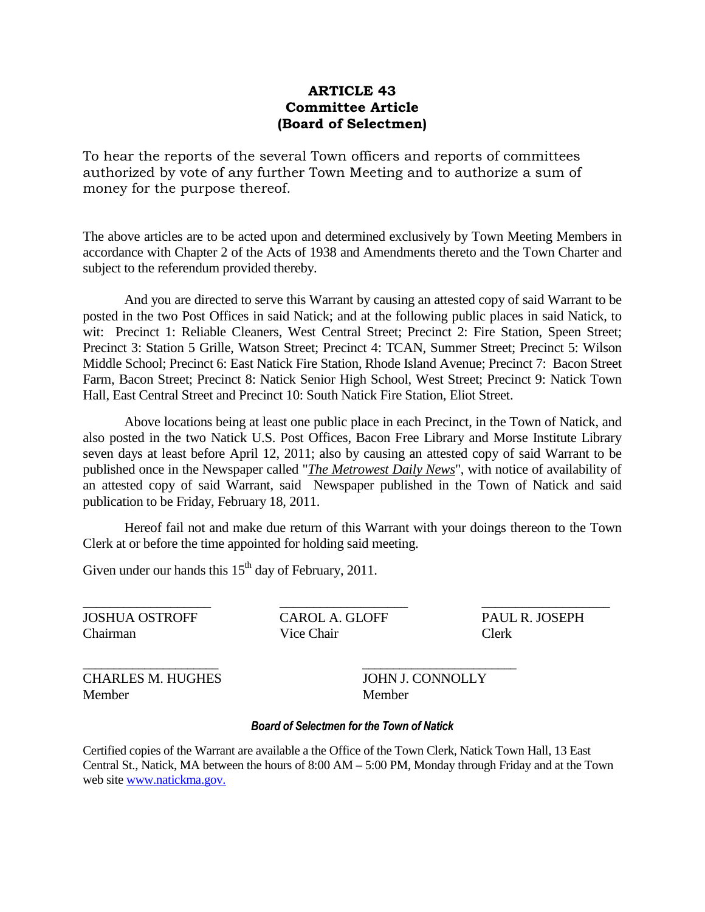### **ARTICLE 43 Committee Article (Board of Selectmen)**

To hear the reports of the several Town officers and reports of committees authorized by vote of any further Town Meeting and to authorize a sum of money for the purpose thereof.

The above articles are to be acted upon and determined exclusively by Town Meeting Members in accordance with Chapter 2 of the Acts of 1938 and Amendments thereto and the Town Charter and subject to the referendum provided thereby.

And you are directed to serve this Warrant by causing an attested copy of said Warrant to be posted in the two Post Offices in said Natick; and at the following public places in said Natick, to wit: Precinct 1: Reliable Cleaners, West Central Street; Precinct 2: Fire Station, Speen Street; Precinct 3: Station 5 Grille, Watson Street; Precinct 4: TCAN, Summer Street; Precinct 5: Wilson Middle School; Precinct 6: East Natick Fire Station, Rhode Island Avenue; Precinct 7: Bacon Street Farm, Bacon Street; Precinct 8: Natick Senior High School, West Street; Precinct 9: Natick Town Hall, East Central Street and Precinct 10: South Natick Fire Station, Eliot Street.

Above locations being at least one public place in each Precinct, in the Town of Natick, and also posted in the two Natick U.S. Post Offices, Bacon Free Library and Morse Institute Library seven days at least before April 12, 2011; also by causing an attested copy of said Warrant to be published once in the Newspaper called "*The Metrowest Daily News*", with notice of availability of an attested copy of said Warrant, said Newspaper published in the Town of Natick and said publication to be Friday, February 18, 2011.

Hereof fail not and make due return of this Warrant with your doings thereon to the Town Clerk at or before the time appointed for holding said meeting.

Given under our hands this  $15<sup>th</sup>$  day of February, 2011.

\_\_\_\_\_\_\_\_\_\_\_\_\_\_\_\_\_\_\_ \_\_\_\_\_\_\_\_\_\_\_\_\_\_\_\_\_\_\_ \_\_\_\_\_\_\_\_\_\_\_\_\_\_\_\_\_\_\_ JOSHUA OSTROFF CAROL A. GLOFF PAUL R. JOSEPH Chairman Vice Chair Clerk

\_\_\_\_\_\_\_\_\_\_\_\_\_\_\_\_\_\_\_\_\_\_ \_\_\_\_\_\_\_\_\_\_\_\_\_\_\_\_\_\_\_\_\_\_\_\_\_

CHARLES M. HUGHES JOHN J. CONNOLLY Member Member

#### *Board of Selectmen for the Town of Natick*

Certified copies of the Warrant are available a the Office of the Town Clerk, Natick Town Hall, 13 East Central St., Natick, MA between the hours of 8:00 AM –5:00 PM, Monday through Friday and at the Town web site [www.natickma.gov.](http://www.natickma.gov./)